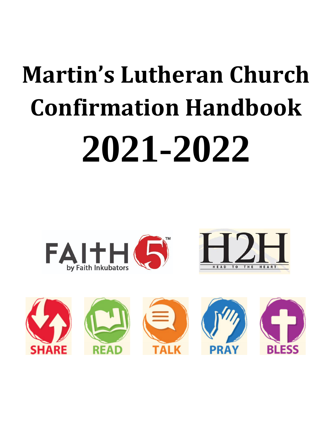# **Martin's Lutheran Church Confirmation Handbook 2021-2022**



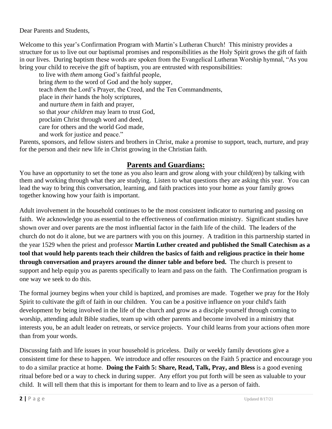Dear Parents and Students,

Welcome to this year's Confirmation Program with Martin's Lutheran Church! This ministry provides a structure for us to live out our baptismal promises and responsibilities as the Holy Spirit grows the gift of faith in our lives. During baptism these words are spoken from the Evangelical Lutheran Worship hymnal, "As you bring your child to receive the gift of baptism, you are entrusted with responsibilities:

to live with *them* among God's faithful people, bring *them* to the word of God and the holy supper, teach *them* the Lord's Prayer, the Creed, and the Ten Commandments, place in *their* hands the holy scriptures, and nurture *them* in faith and prayer, so that *your children* may learn to trust God, proclaim Christ through word and deed, care for others and the world God made, and work for justice and peace."

Parents, sponsors, and fellow sisters and brothers in Christ, make a promise to support, teach, nurture, and pray for the person and their new life in Christ growing in the Christian faith.

## **Parents and Guardians:**

You have an opportunity to set the tone as you also learn and grow along with your child(ren) by talking with them and working through what they are studying. Listen to what questions they are asking this year. You can lead the way to bring this conversation, learning, and faith practices into your home as your family grows together knowing how your faith is important.

Adult involvement in the household continues to be the most consistent indicator to nurturing and passing on faith. We acknowledge you as essential to the effectiveness of confirmation ministry. Significant studies have shown over and over parents are the most influential factor in the faith life of the child. The leaders of the church do not do it alone, but we are partners with you on this journey. A tradition in this partnership started in the year 1529 when the priest and professor **Martin Luther created and published the Small Catechism as a tool that would help parents teach their children the basics of faith and religious practice in their home through conversation and prayers around the dinner table and before bed.** The church is present to support and help equip you as parents specifically to learn and pass on the faith. The Confirmation program is one way we seek to do this.

The formal journey begins when your child is baptized, and promises are made. Together we pray for the Holy Spirit to cultivate the gift of faith in our children. You can be a positive influence on your child's faith development by being involved in the life of the church and grow as a disciple yourself through coming to worship, attending adult Bible studies, team up with other parents and become involved in a ministry that interests you, be an adult leader on retreats, or service projects. Your child learns from your actions often more than from your words.

Discussing faith and life issues in your household is priceless. Daily or weekly family devotions give a consistent time for these to happen. We introduce and offer resources on the Faith 5 practice and encourage you to do a similar practice at home. **Doing the Faith 5: Share, Read, Talk, Pray, and Bless** is a good evening ritual before bed or a way to check in during supper. Any effort you put forth will be seen as valuable to your child. It will tell them that this is important for them to learn and to live as a person of faith.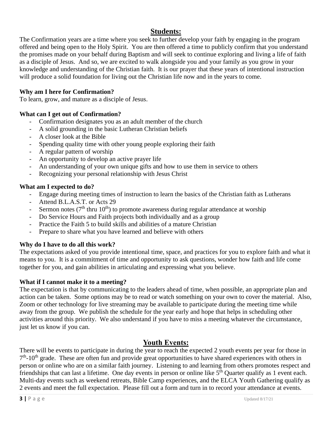# **Students:**

The Confirmation years are a time where you seek to further develop your faith by engaging in the program offered and being open to the Holy Spirit. You are then offered a time to publicly confirm that you understand the promises made on your behalf during Baptism and will seek to continue exploring and living a life of faith as a disciple of Jesus. And so, we are excited to walk alongside you and your family as you grow in your knowledge and understanding of the Christian faith. It is our prayer that these years of intentional instruction will produce a solid foundation for living out the Christian life now and in the years to come.

#### **Why am I here for Confirmation?**

To learn, grow, and mature as a disciple of Jesus.

#### **What can I get out of Confirmation?**

- Confirmation designates you as an adult member of the church
- A solid grounding in the basic Lutheran Christian beliefs
- A closer look at the Bible
- Spending quality time with other young people exploring their faith
- A regular pattern of worship
- An opportunity to develop an active prayer life
- An understanding of your own unique gifts and how to use them in service to others
- Recognizing your personal relationship with Jesus Christ

#### **What am I expected to do?**

- Engage during meeting times of instruction to learn the basics of the Christian faith as Lutherans
- Attend B.L.A.S.T. or Acts 29
- Sermon notes ( $7<sup>th</sup>$  thru 10<sup>th</sup>) to promote awareness during regular attendance at worship
- Do Service Hours and Faith projects both individually and as a group
- Practice the Faith 5 to build skills and abilities of a mature Christian
- Prepare to share what you have learned and believe with others

### **Why do I have to do all this work?**

The expectations asked of you provide intentional time, space, and practices for you to explore faith and what it means to you. It is a commitment of time and opportunity to ask questions, wonder how faith and life come together for you, and gain abilities in articulating and expressing what you believe.

### **What if I cannot make it to a meeting?**

The expectation is that by communicating to the leaders ahead of time, when possible, an appropriate plan and action can be taken. Some options may be to read or watch something on your own to cover the material. Also, Zoom or other technology for live streaming may be available to participate during the meeting time while away from the group. We publish the schedule for the year early and hope that helps in scheduling other activities around this priority. We also understand if you have to miss a meeting whatever the circumstance, just let us know if you can.

## **Youth Events:**

There will be events to participate in during the year to reach the expected 2 youth events per year for those in  $7<sup>th</sup>$ -10<sup>th</sup> grade. These are often fun and provide great opportunities to have shared experiences with others in person or online who are on a similar faith journey. Listening to and learning from others promotes respect and friendships that can last a lifetime. One day events in person or online like  $5<sup>th</sup>$  Quarter qualify as 1 event each. Multi-day events such as weekend retreats, Bible Camp experiences, and the ELCA Youth Gathering qualify as 2 events and meet the full expectation. Please fill out a form and turn in to record your attendance at events.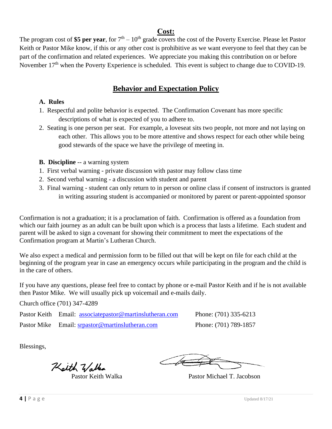### **Cost:**

The program cost of \$5 per year, for  $7<sup>th</sup> - 10<sup>th</sup>$  grade covers the cost of the Poverty Exercise. Please let Pastor Keith or Pastor Mike know, if this or any other cost is prohibitive as we want everyone to feel that they can be part of the confirmation and related experiences. We appreciate you making this contribution on or before November  $17<sup>th</sup>$  when the Poverty Experience is scheduled. This event is subject to change due to COVID-19.

# **Behavior and Expectation Policy**

#### **A. Rules**

- 1. Respectful and polite behavior is expected. The Confirmation Covenant has more specific descriptions of what is expected of you to adhere to.
- 2. Seating is one person per seat. For example, a loveseat sits two people, not more and not laying on each other. This allows you to be more attentive and shows respect for each other while being good stewards of the space we have the privilege of meeting in.
- **B. Discipline** -- a warning system
- 1. First verbal warning private discussion with pastor may follow class time
- 2. Second verbal warning a discussion with student and parent
- 3. Final warning student can only return to in person or online class if consent of instructors is granted in writing assuring student is accompanied or monitored by parent or parent-appointed sponsor

Confirmation is not a graduation; it is a proclamation of faith. Confirmation is offered as a foundation from which our faith journey as an adult can be built upon which is a process that lasts a lifetime. Each student and parent will be asked to sign a covenant for showing their commitment to meet the expectations of the Confirmation program at Martin's Lutheran Church.

We also expect a medical and permission form to be filled out that will be kept on file for each child at the beginning of the program year in case an emergency occurs while participating in the program and the child is in the care of others.

If you have any questions, please feel free to contact by phone or e-mail Pastor Keith and if he is not available then Pastor Mike. We will usually pick up voicemail and e-mails daily.

Church office (701) 347-4289

Pastor Keith Email: [associatepastor@martinslutheran.com](mailto:associatepastor@martinslutheran.com) Phone: (701) 335-6213

Pastor Mike Email: [srpastor@martinslutheran.com](mailto:srpastor@martinslutheran.com) Phone: (701) 789-1857

Blessings,

Kalth Walka

Pastor Keith Walka Pastor Michael T. Jacobson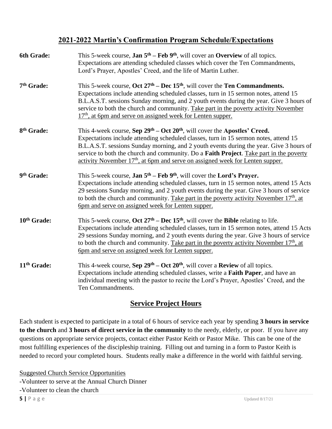# **2021-2022 Martin's Confirmation Program Schedule/Expectations**

| 6th Grade:              | This 5-week course, <b>Jan 5<sup>th</sup></b> – Feb 9 <sup>th</sup> , will cover an <b>Overview</b> of all topics.<br>Expectations are attending scheduled classes which cover the Ten Commandments,<br>Lord's Prayer, Apostles' Creed, and the life of Martin Luther.                                                                                                                                                                                                              |
|-------------------------|-------------------------------------------------------------------------------------------------------------------------------------------------------------------------------------------------------------------------------------------------------------------------------------------------------------------------------------------------------------------------------------------------------------------------------------------------------------------------------------|
| 7 <sup>th</sup> Grade:  | This 5-week course, Oct $27th - Dec 15th$ , will cover the Ten Commandments.<br>Expectations include attending scheduled classes, turn in 15 sermon notes, attend 15<br>B.L.A.S.T. sessions Sunday morning, and 2 youth events during the year. Give 3 hours of<br>service to both the church and community. Take part in the poverty activity November<br>$17th$ , at 6pm and serve on assigned week for Lenten supper.                                                            |
| 8 <sup>th</sup> Grade:  | This 4-week course, Sep 29 <sup>th</sup> – Oct 20 <sup>th</sup> , will cover the Apostles' Creed.<br>Expectations include attending scheduled classes, turn in 15 sermon notes, attend 15<br>B.L.A.S.T. sessions Sunday morning, and 2 youth events during the year. Give 3 hours of<br>service to both the church and community. Do a <b>Faith Project</b> . Take part in the poverty<br>activity November 17 <sup>th</sup> , at 6pm and serve on assigned week for Lenten supper. |
| 9th Grade:              | This 5-week course, Jan 5 <sup>th</sup> – Feb 9 <sup>th</sup> , will cover the Lord's Prayer.<br>Expectations include attending scheduled classes, turn in 15 sermon notes, attend 15 Acts<br>29 sessions Sunday morning, and 2 youth events during the year. Give 3 hours of service<br>to both the church and community. Take part in the poverty activity November $17th$ , at<br>6pm and serve on assigned week for Lenten supper.                                              |
| 10th Grade:             | This 5-week course, Oct $27th - Dec 15th$ , will cover the Bible relating to life.<br>Expectations include attending scheduled classes, turn in 15 sermon notes, attend 15 Acts<br>29 sessions Sunday morning, and 2 youth events during the year. Give 3 hours of service<br>to both the church and community. Take part in the poverty activity November $17th$ , at<br>6pm and serve on assigned week for Lenten supper.                                                         |
| 11 <sup>th</sup> Grade: | This 4-week course, Sep $29th - Oct 20th$ , will cover a Review of all topics.<br>Expectations include attending scheduled classes, write a Faith Paper, and have an<br>individual meeting with the pastor to recite the Lord's Prayer, Apostles' Creed, and the<br>Ten Commandments.                                                                                                                                                                                               |

# **Service Project Hours**

Each student is expected to participate in a total of 6 hours of service each year by spending **3 hours in service to the church** and **3 hours of direct service in the community** to the needy, elderly, or poor. If you have any questions on appropriate service projects, contact either Pastor Keith or Pastor Mike. This can be one of the most fulfilling experiences of the discipleship training. Filling out and turning in a form to Pastor Keith is needed to record your completed hours. Students really make a difference in the world with faithful serving.

**5 | P** a g e Updated 8/17/21 Suggested Church Service Opportunities -Volunteer to serve at the Annual Church Dinner -Volunteer to clean the church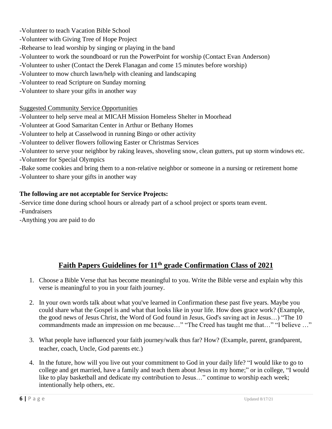-Volunteer to teach Vacation Bible School

-Volunteer with Giving Tree of Hope Project

- -Rehearse to lead worship by singing or playing in the band
- -Volunteer to work the soundboard or run the PowerPoint for worship (Contact Evan Anderson)
- -Volunteer to usher (Contact the Derek Flanagan and come 15 minutes before worship)
- -Volunteer to mow church lawn/help with cleaning and landscaping
- -Volunteer to read Scripture on Sunday morning
- -Volunteer to share your gifts in another way

## Suggested Community Service Opportunities

-Volunteer to help serve meal at MICAH Mission Homeless Shelter in Moorhead

- -Volunteer at Good Samaritan Center in Arthur or Bethany Homes
- -Volunteer to help at Casselwood in running Bingo or other activity
- -Volunteer to deliver flowers following Easter or Christmas Services
- -Volunteer to serve your neighbor by raking leaves, shoveling snow, clean gutters, put up storm windows etc. -Volunteer for Special Olympics

-Bake some cookies and bring them to a non-relative neighbor or someone in a nursing or retirement home -Volunteer to share your gifts in another way

## **The following are not acceptable for Service Projects:**

-Service time done during school hours or already part of a school project or sports team event.

-Fundraisers

-Anything you are paid to do

# **Faith Papers Guidelines for 11th grade Confirmation Class of 2021**

- 1. Choose a Bible Verse that has become meaningful to you. Write the Bible verse and explain why this verse is meaningful to you in your faith journey.
- 2. In your own words talk about what you've learned in Confirmation these past five years. Maybe you could share what the Gospel is and what that looks like in your life. How does grace work? (Example, the good news of Jesus Christ, the Word of God found in Jesus, God's saving act in Jesus…) "The 10 commandments made an impression on me because…" "The Creed has taught me that…" "I believe …"
- 3. What people have influenced your faith journey/walk thus far? How? (Example, parent, grandparent, teacher, coach, Uncle, God parents etc.)
- 4. In the future, how will you live out your commitment to God in your daily life? "I would like to go to college and get married, have a family and teach them about Jesus in my home;" or in college, "I would like to play basketball and dedicate my contribution to Jesus…" continue to worship each week; intentionally help others, etc.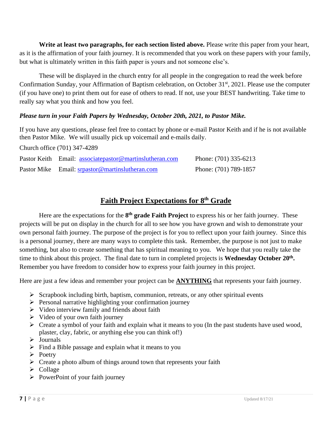**Write at least two paragraphs, for each section listed above.** Please write this paper from your heart, as it is the affirmation of your faith journey. It is recommended that you work on these papers with your family, but what is ultimately written in this faith paper is yours and not someone else's.

These will be displayed in the church entry for all people in the congregation to read the week before Confirmation Sunday, your Affirmation of Baptism celebration, on October 31<sup>st</sup>, 2021. Please use the computer (if you have one) to print them out for ease of others to read. If not, use your BEST handwriting. Take time to really say what you think and how you feel.

#### *Please turn in your Faith Papers by Wednesday, October 20th, 2021, to Pastor Mike.*

If you have any questions, please feel free to contact by phone or e-mail Pastor Keith and if he is not available then Pastor Mike. We will usually pick up voicemail and e-mails daily.

Church office (701) 347-4289

| Pastor Keith Email: associatepastor@martinslutheran.com | Phone: (701) 335-6213 |
|---------------------------------------------------------|-----------------------|
| Pastor Mike Email: srpastor@martinslutheran.com         | Phone: (701) 789-1857 |

# **Faith Project Expectations for 8th Grade**

Here are the expectations for the 8<sup>th</sup> grade Faith Project to express his or her faith journey. These projects will be put on display in the church for all to see how you have grown and wish to demonstrate your own personal faith journey. The purpose of the project is for you to reflect upon your faith journey. Since this is a personal journey, there are many ways to complete this task. Remember, the purpose is not just to make something, but also to create something that has spiritual meaning to you. We hope that you really take the time to think about this project. The final date to turn in completed projects is **Wednesday October 20th .** Remember you have freedom to consider how to express your faith journey in this project.

Here are just a few ideas and remember your project can be **ANYTHING** that represents your faith journey.

- ➢ Scrapbook including birth, baptism, communion, retreats, or any other spiritual events
- ➢ Personal narrative highlighting your confirmation journey
- ➢ Video interview family and friends about faith
- ➢ Video of your own faith journey
- ➢ Create a symbol of your faith and explain what it means to you (In the past students have used wood, plaster, clay, fabric, or anything else you can think of!)
- ➢ Journals
- $\triangleright$  Find a Bible passage and explain what it means to you
- ➢ Poetry
- $\triangleright$  Create a photo album of things around town that represents your faith
- ➢ Collage
- $\triangleright$  PowerPoint of your faith journey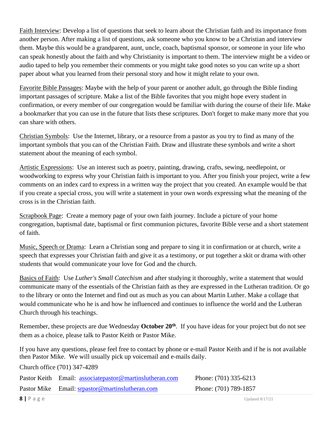Faith Interview: Develop a list of questions that seek to learn about the Christian faith and its importance from another person. After making a list of questions, ask someone who you know to be a Christian and interview them. Maybe this would be a grandparent, aunt, uncle, coach, baptismal sponsor, or someone in your life who can speak honestly about the faith and why Christianity is important to them. The interview might be a video or audio taped to help you remember their comments or you might take good notes so you can write up a short paper about what you learned from their personal story and how it might relate to your own.

Favorite Bible Passages: Maybe with the help of your parent or another adult, go through the Bible finding important passages of scripture. Make a list of the Bible favorites that you might hope every student in confirmation, or every member of our congregation would be familiar with during the course of their life. Make a bookmarker that you can use in the future that lists these scriptures. Don't forget to make many more that you can share with others.

Christian Symbols: Use the Internet, library, or a resource from a pastor as you try to find as many of the important symbols that you can of the Christian Faith. Draw and illustrate these symbols and write a short statement about the meaning of each symbol.

Artistic Expressions: Use an interest such as poetry, painting, drawing, crafts, sewing, needlepoint, or woodworking to express why your Christian faith is important to you. After you finish your project, write a few comments on an index card to express in a written way the project that you created. An example would be that if you create a special cross, you will write a statement in your own words expressing what the meaning of the cross is in the Christian faith.

Scrapbook Page: Create a memory page of your own faith journey. Include a picture of your home congregation, baptismal date, baptismal or first communion pictures, favorite Bible verse and a short statement of faith.

Music, Speech or Drama: Learn a Christian song and prepare to sing it in confirmation or at church, write a speech that expresses your Christian faith and give it as a testimony, or put together a skit or drama with other students that would communicate your love for God and the church.

Basics of Faith: Use *Luther's Small Catechism* and after studying it thoroughly, write a statement that would communicate many of the essentials of the Christian faith as they are expressed in the Lutheran tradition. Or go to the library or onto the Internet and find out as much as you can about Martin Luther. Make a collage that would communicate who he is and how he influenced and continues to influence the world and the Lutheran Church through his teachings.

Remember, these projects are due Wednesday **October 20th** . If you have ideas for your project but do not see them as a choice, please talk to Pastor Keith or Pastor Mike.

If you have any questions, please feel free to contact by phone or e-mail Pastor Keith and if he is not available then Pastor Mike. We will usually pick up voicemail and e-mails daily.

Church office (701) 347-4289

| Pastor Keith Email: associatepastor@martinslutheran.com | Phone: $(701)$ 335-6213 |
|---------------------------------------------------------|-------------------------|
| Pastor Mike Email: srpastor@martinslutheran.com         | Phone: (701) 789-1857   |
|                                                         |                         |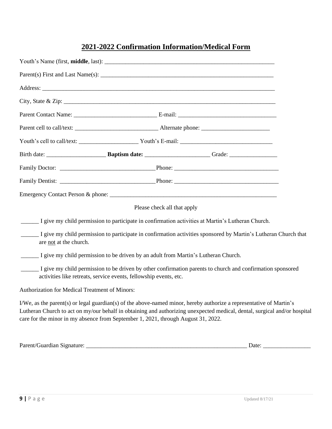# **2021-2022 Confirmation Information/Medical Form**

|                                                | Please check all that apply                                                        |                                                                                                                                                                                                                                                  |  |
|------------------------------------------------|------------------------------------------------------------------------------------|--------------------------------------------------------------------------------------------------------------------------------------------------------------------------------------------------------------------------------------------------|--|
|                                                |                                                                                    | I give my child permission to participate in confirmation activities at Martin's Lutheran Church.                                                                                                                                                |  |
| are not at the church.                         |                                                                                    | I give my child permission to participate in confirmation activities sponsored by Martin's Lutheran Church that                                                                                                                                  |  |
|                                                | I give my child permission to be driven by an adult from Martin's Lutheran Church. |                                                                                                                                                                                                                                                  |  |
|                                                | activities like retreats, service events, fellowship events, etc.                  | I give my child permission to be driven by other confirmation parents to church and confirmation sponsored                                                                                                                                       |  |
| Authorization for Medical Treatment of Minors: |                                                                                    |                                                                                                                                                                                                                                                  |  |
|                                                | care for the minor in my absence from September 1, 2021, through August 31, 2022.  | I/We, as the parent(s) or legal guardian(s) of the above-named minor, hereby authorize a representative of Martin's<br>Lutheran Church to act on my/our behalf in obtaining and authorizing unexpected medical, dental, surgical and/or hospital |  |

| Parent/Guardian<br>Signature: | Jate |  |
|-------------------------------|------|--|
|                               |      |  |